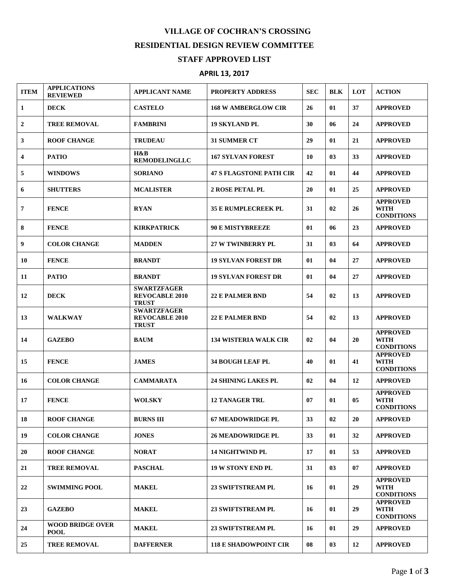## **VILLAGE OF COCHRAN'S CROSSING RESIDENTIAL DESIGN REVIEW COMMITTEE STAFF APPROVED LIST**

## **APRIL 13, 2017**

| <b>ITEM</b> | <b>APPLICATIONS</b><br><b>REVIEWED</b> | <b>APPLICANT NAME</b>                                       | PROPERTY ADDRESS               | <b>SEC</b> | <b>BLK</b>     | LOT | <b>ACTION</b>                                       |
|-------------|----------------------------------------|-------------------------------------------------------------|--------------------------------|------------|----------------|-----|-----------------------------------------------------|
| 1           | <b>DECK</b>                            | <b>CASTELO</b>                                              | <b>168 W AMBERGLOW CIR</b>     | 26         | 01             | 37  | <b>APPROVED</b>                                     |
| 2           | <b>TREE REMOVAL</b>                    | <b>FAMBRINI</b>                                             | <b>19 SKYLAND PL</b>           | 30         | 06             | 24  | <b>APPROVED</b>                                     |
| 3           | <b>ROOF CHANGE</b>                     | <b>TRUDEAU</b>                                              | <b>31 SUMMER CT</b>            | 29         | 01             | 21  | <b>APPROVED</b>                                     |
| 4           | <b>PATIO</b>                           | H&B<br><b>REMODELINGLLC</b>                                 | <b>167 SYLVAN FOREST</b>       | 10         | 03             | 33  | <b>APPROVED</b>                                     |
| 5           | <b>WINDOWS</b>                         | <b>SORIANO</b>                                              | <b>47 S FLAGSTONE PATH CIR</b> | 42         | 01             | 44  | <b>APPROVED</b>                                     |
| 6           | <b>SHUTTERS</b>                        | <b>MCALISTER</b>                                            | 2 ROSE PETAL PL                | 20         | 01             | 25  | <b>APPROVED</b>                                     |
| 7           | <b>FENCE</b>                           | <b>RYAN</b>                                                 | <b>35 E RUMPLECREEK PL</b>     | 31         | 02             | 26  | <b>APPROVED</b><br><b>WITH</b><br><b>CONDITIONS</b> |
| 8           | <b>FENCE</b>                           | <b>KIRKPATRICK</b>                                          | <b>90 E MISTYBREEZE</b>        | 01         | 06             | 23  | <b>APPROVED</b>                                     |
| 9           | <b>COLOR CHANGE</b>                    | <b>MADDEN</b>                                               | <b>27 W TWINBERRY PL</b>       | 31         | 0 <sub>3</sub> | 64  | <b>APPROVED</b>                                     |
| 10          | <b>FENCE</b>                           | <b>BRANDT</b>                                               | <b>19 SYLVAN FOREST DR</b>     | 01         | 04             | 27  | <b>APPROVED</b>                                     |
| 11          | <b>PATIO</b>                           | <b>BRANDT</b>                                               | <b>19 SYLVAN FOREST DR</b>     | 01         | 04             | 27  | <b>APPROVED</b>                                     |
| 12          | <b>DECK</b>                            | <b>SWARTZFAGER</b><br><b>REVOCABLE 2010</b><br><b>TRUST</b> | <b>22 E PALMER BND</b>         | 54         | 02             | 13  | <b>APPROVED</b>                                     |
| 13          | <b>WALKWAY</b>                         | <b>SWARTZFAGER</b><br><b>REVOCABLE 2010</b><br><b>TRUST</b> | <b>22 E PALMER BND</b>         | 54         | 02             | 13  | <b>APPROVED</b>                                     |
| 14          | <b>GAZEBO</b>                          | <b>BAUM</b>                                                 | <b>134 WISTERIA WALK CIR</b>   | 02         | 04             | 20  | <b>APPROVED</b><br><b>WITH</b><br><b>CONDITIONS</b> |
| 15          | <b>FENCE</b>                           | <b>JAMES</b>                                                | <b>34 BOUGH LEAF PL</b>        | 40         | 01             | 41  | <b>APPROVED</b><br><b>WITH</b><br><b>CONDITIONS</b> |
| 16          | <b>COLOR CHANGE</b>                    | <b>CAMMARATA</b>                                            | <b>24 SHINING LAKES PL</b>     | 02         | 04             | 12  | <b>APPROVED</b>                                     |
| 17          | <b>FENCE</b>                           | <b>WOLSKY</b>                                               | <b>12 TANAGER TRL</b>          | 07         | 01             | 05  | <b>APPROVED</b><br><b>WITH</b><br><b>CONDITIONS</b> |
| 18          | <b>ROOF CHANGE</b>                     | <b>BURNS III</b>                                            | <b>67 MEADOWRIDGE PL</b>       | 33         | 02             | 20  | <b>APPROVED</b>                                     |
| 19          | <b>COLOR CHANGE</b>                    | <b>JONES</b>                                                | <b>26 MEADOWRIDGE PL</b>       | 33         | 01             | 32  | <b>APPROVED</b>                                     |
| 20          | <b>ROOF CHANGE</b>                     | <b>NORAT</b>                                                | <b>14 NIGHTWIND PL</b>         | 17         | 01             | 53  | <b>APPROVED</b>                                     |
| 21          | <b>TREE REMOVAL</b>                    | <b>PASCHAL</b>                                              | <b>19 W STONY END PL</b>       | 31         | 03             | 07  | <b>APPROVED</b>                                     |
| 22          | <b>SWIMMING POOL</b>                   | <b>MAKEL</b>                                                | 23 SWIFTSTREAM PL              | 16         | 01             | 29  | <b>APPROVED</b><br><b>WITH</b><br><b>CONDITIONS</b> |
| 23          | <b>GAZEBO</b>                          | <b>MAKEL</b>                                                | <b>23 SWIFTSTREAM PL</b>       | 16         | 01             | 29  | <b>APPROVED</b><br><b>WITH</b><br><b>CONDITIONS</b> |
| 24          | <b>WOOD BRIDGE OVER</b><br><b>POOL</b> | <b>MAKEL</b>                                                | 23 SWIFTSTREAM PL              | 16         | 01             | 29  | <b>APPROVED</b>                                     |
| 25          | <b>TREE REMOVAL</b>                    | <b>DAFFERNER</b>                                            | <b>118 E SHADOWPOINT CIR</b>   | 08         | 03             | 12  | <b>APPROVED</b>                                     |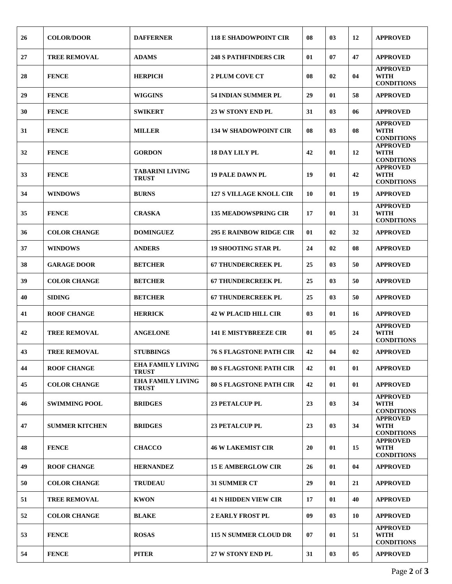| 26 | <b>COLOR/DOOR</b>     | <b>DAFFERNER</b>                         | <b>118 E SHADOWPOINT CIR</b>   | 08 | 03             | 12 | <b>APPROVED</b>                                     |
|----|-----------------------|------------------------------------------|--------------------------------|----|----------------|----|-----------------------------------------------------|
| 27 | <b>TREE REMOVAL</b>   | <b>ADAMS</b>                             | <b>248 S PATHFINDERS CIR</b>   | 01 | 07             | 47 | <b>APPROVED</b>                                     |
| 28 | <b>FENCE</b>          | <b>HERPICH</b>                           | <b>2 PLUM COVE CT</b>          | 08 | 02             | 04 | <b>APPROVED</b><br><b>WITH</b><br><b>CONDITIONS</b> |
| 29 | <b>FENCE</b>          | WIGGINS                                  | <b>54 INDIAN SUMMER PL</b>     | 29 | 01             | 58 | <b>APPROVED</b>                                     |
| 30 | <b>FENCE</b>          | <b>SWIKERT</b>                           | <b>23 W STONY END PL</b>       | 31 | 03             | 06 | <b>APPROVED</b>                                     |
| 31 | <b>FENCE</b>          | <b>MILLER</b>                            | <b>134 W SHADOWPOINT CIR</b>   | 08 | 0 <sub>3</sub> | 08 | <b>APPROVED</b><br><b>WITH</b><br><b>CONDITIONS</b> |
| 32 | <b>FENCE</b>          | <b>GORDON</b>                            | <b>18 DAY LILY PL</b>          | 42 | 01             | 12 | <b>APPROVED</b><br><b>WITH</b><br><b>CONDITIONS</b> |
| 33 | <b>FENCE</b>          | <b>TABARINI LIVING</b><br><b>TRUST</b>   | <b>19 PALE DAWN PL</b>         | 19 | 01             | 42 | <b>APPROVED</b><br><b>WITH</b><br><b>CONDITIONS</b> |
| 34 | <b>WINDOWS</b>        | <b>BURNS</b>                             | <b>127 S VILLAGE KNOLL CIR</b> | 10 | 01             | 19 | <b>APPROVED</b>                                     |
| 35 | <b>FENCE</b>          | <b>CRASKA</b>                            | <b>135 MEADOWSPRING CIR</b>    | 17 | 01             | 31 | <b>APPROVED</b><br><b>WITH</b><br><b>CONDITIONS</b> |
| 36 | <b>COLOR CHANGE</b>   | <b>DOMINGUEZ</b>                         | <b>295 E RAINBOW RIDGE CIR</b> | 01 | 02             | 32 | <b>APPROVED</b>                                     |
| 37 | <b>WINDOWS</b>        | <b>ANDERS</b>                            | <b>19 SHOOTING STAR PL</b>     | 24 | 02             | 08 | <b>APPROVED</b>                                     |
| 38 | <b>GARAGE DOOR</b>    | <b>BETCHER</b>                           | <b>67 THUNDERCREEK PL</b>      | 25 | 0 <sub>3</sub> | 50 | <b>APPROVED</b>                                     |
| 39 | <b>COLOR CHANGE</b>   | <b>BETCHER</b>                           | <b>67 THUNDERCREEK PL</b>      | 25 | 03             | 50 | <b>APPROVED</b>                                     |
| 40 | <b>SIDING</b>         | <b>BETCHER</b>                           | <b>67 THUNDERCREEK PL</b>      | 25 | 03             | 50 | <b>APPROVED</b>                                     |
| 41 | <b>ROOF CHANGE</b>    | <b>HERRICK</b>                           | <b>42 W PLACID HILL CIR</b>    | 03 | 01             | 16 | <b>APPROVED</b>                                     |
| 42 | <b>TREE REMOVAL</b>   | <b>ANGELONE</b>                          | <b>141 E MISTYBREEZE CIR</b>   | 01 | 05             | 24 | <b>APPROVED</b><br><b>WITH</b><br><b>CONDITIONS</b> |
| 43 | <b>TREE REMOVAL</b>   | <b>STUBBINGS</b>                         | <b>76 S FLAGSTONE PATH CIR</b> | 42 | 04             | 02 | <b>APPROVED</b>                                     |
| 44 | <b>ROOF CHANGE</b>    | <b>EHA FAMILY LIVING</b><br><b>TRUST</b> | <b>80 S FLAGSTONE PATH CIR</b> | 42 | 01             | 01 | <b>APPROVED</b>                                     |
| 45 | <b>COLOR CHANGE</b>   | <b>EHA FAMILY LIVING</b><br><b>TRUST</b> | <b>80 S FLAGSTONE PATH CIR</b> | 42 | 01             | 01 | <b>APPROVED</b>                                     |
| 46 | <b>SWIMMING POOL</b>  | <b>BRIDGES</b>                           | <b>23 PETALCUP PL</b>          | 23 | 03             | 34 | <b>APPROVED</b><br><b>WITH</b><br><b>CONDITIONS</b> |
| 47 | <b>SUMMER KITCHEN</b> | <b>BRIDGES</b>                           | <b>23 PETALCUP PL</b>          | 23 | 03             | 34 | <b>APPROVED</b><br><b>WITH</b><br><b>CONDITIONS</b> |
| 48 | <b>FENCE</b>          | <b>CHACCO</b>                            | <b>46 W LAKEMIST CIR</b>       | 20 | 01             | 15 | <b>APPROVED</b><br><b>WITH</b><br><b>CONDITIONS</b> |
| 49 | <b>ROOF CHANGE</b>    | <b>HERNANDEZ</b>                         | <b>15 E AMBERGLOW CIR</b>      | 26 | 01             | 04 | <b>APPROVED</b>                                     |
| 50 | <b>COLOR CHANGE</b>   | <b>TRUDEAU</b>                           | <b>31 SUMMER CT</b>            | 29 | 01             | 21 | <b>APPROVED</b>                                     |
| 51 | <b>TREE REMOVAL</b>   | <b>KWON</b>                              | <b>41 N HIDDEN VIEW CIR</b>    | 17 | 01             | 40 | <b>APPROVED</b>                                     |
| 52 | <b>COLOR CHANGE</b>   | <b>BLAKE</b>                             | <b>2 EARLY FROST PL</b>        | 09 | 0 <sub>3</sub> | 10 | <b>APPROVED</b>                                     |
| 53 | <b>FENCE</b>          | <b>ROSAS</b>                             | <b>115 N SUMMER CLOUD DR</b>   | 07 | 01             | 51 | <b>APPROVED</b><br><b>WITH</b><br><b>CONDITIONS</b> |
| 54 | <b>FENCE</b>          | <b>PITER</b>                             | 27 W STONY END PL              | 31 | 03             | 05 | <b>APPROVED</b>                                     |